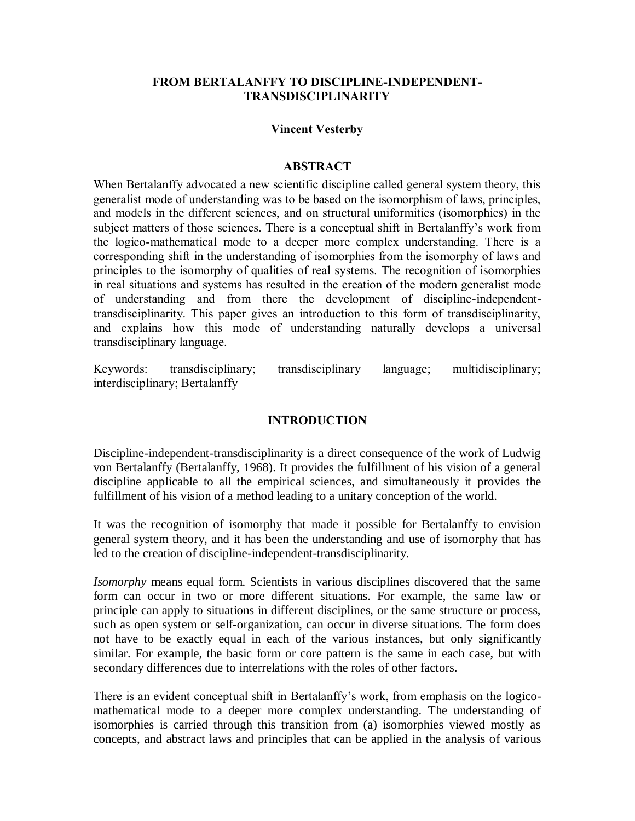## **FROM BERTALANFFY TO DISCIPLINE-INDEPENDENT-TRANSDISCIPLINARITY**

#### **Vincent Vesterby**

#### **ABSTRACT**

When Bertalanffy advocated a new scientific discipline called general system theory, this generalist mode of understanding was to be based on the isomorphism of laws, principles, and models in the different sciences, and on structural uniformities (isomorphies) in the subject matters of those sciences. There is a conceptual shift in Bertalanffy's work from the logico-mathematical mode to a deeper more complex understanding. There is a corresponding shift in the understanding of isomorphies from the isomorphy of laws and principles to the isomorphy of qualities of real systems. The recognition of isomorphies in real situations and systems has resulted in the creation of the modern generalist mode of understanding and from there the development of discipline-independenttransdisciplinarity. This paper gives an introduction to this form of transdisciplinarity, and explains how this mode of understanding naturally develops a universal transdisciplinary language.

Keywords: transdisciplinary; transdisciplinary language; multidisciplinary; interdisciplinary; Bertalanffy

## **INTRODUCTION**

Discipline-independent-transdisciplinarity is a direct consequence of the work of Ludwig von Bertalanffy (Bertalanffy, 1968). It provides the fulfillment of his vision of a general discipline applicable to all the empirical sciences, and simultaneously it provides the fulfillment of his vision of a method leading to a unitary conception of the world.

It was the recognition of isomorphy that made it possible for Bertalanffy to envision general system theory, and it has been the understanding and use of isomorphy that has led to the creation of discipline-independent-transdisciplinarity.

*Isomorphy* means equal form. Scientists in various disciplines discovered that the same form can occur in two or more different situations. For example, the same law or principle can apply to situations in different disciplines, or the same structure or process, such as open system or self-organization, can occur in diverse situations. The form does not have to be exactly equal in each of the various instances, but only significantly similar. For example, the basic form or core pattern is the same in each case, but with secondary differences due to interrelations with the roles of other factors.

There is an evident conceptual shift in Bertalanffy's work, from emphasis on the logicomathematical mode to a deeper more complex understanding. The understanding of isomorphies is carried through this transition from (a) isomorphies viewed mostly as concepts, and abstract laws and principles that can be applied in the analysis of various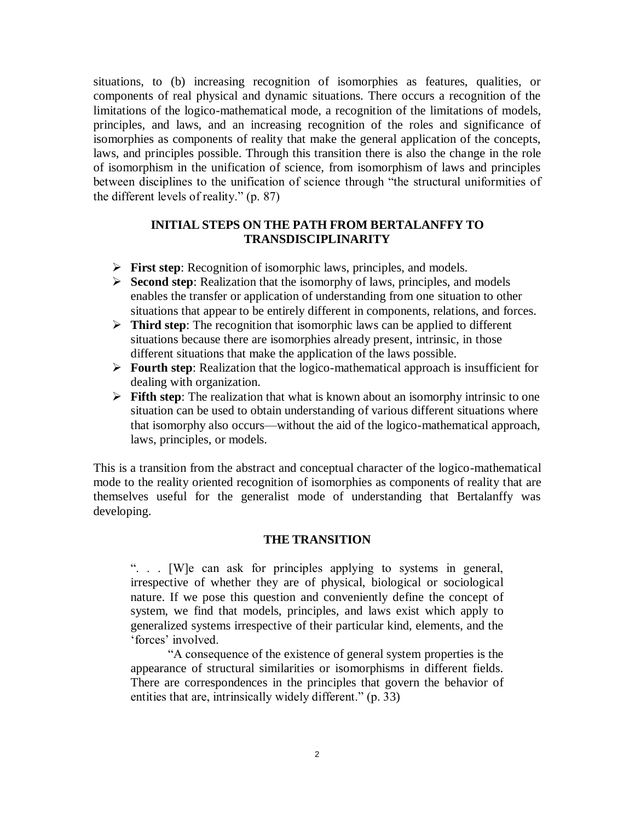situations, to (b) increasing recognition of isomorphies as features, qualities, or components of real physical and dynamic situations. There occurs a recognition of the limitations of the logico-mathematical mode, a recognition of the limitations of models, principles, and laws, and an increasing recognition of the roles and significance of isomorphies as components of reality that make the general application of the concepts, laws, and principles possible. Through this transition there is also the change in the role of isomorphism in the unification of science, from isomorphism of laws and principles between disciplines to the unification of science through "the structural uniformities of the different levels of reality." (p. 87)

#### **INITIAL STEPS ON THE PATH FROM BERTALANFFY TO TRANSDISCIPLINARITY**

- **First step**: Recognition of isomorphic laws, principles, and models.
- **Second step**: Realization that the isomorphy of laws, principles, and models enables the transfer or application of understanding from one situation to other situations that appear to be entirely different in components, relations, and forces.
- **Third step**: The recognition that isomorphic laws can be applied to different situations because there are isomorphies already present, intrinsic, in those different situations that make the application of the laws possible.
- **Fourth step**: Realization that the logico-mathematical approach is insufficient for dealing with organization.
- **Fifth step**: The realization that what is known about an isomorphy intrinsic to one situation can be used to obtain understanding of various different situations where that isomorphy also occurs—without the aid of the logico-mathematical approach, laws, principles, or models.

This is a transition from the abstract and conceptual character of the logico-mathematical mode to the reality oriented recognition of isomorphies as components of reality that are themselves useful for the generalist mode of understanding that Bertalanffy was developing.

#### **THE TRANSITION**

". . . [W]e can ask for principles applying to systems in general, irrespective of whether they are of physical, biological or sociological nature. If we pose this question and conveniently define the concept of system, we find that models, principles, and laws exist which apply to generalized systems irrespective of their particular kind, elements, and the 'forces' involved.

"A consequence of the existence of general system properties is the appearance of structural similarities or isomorphisms in different fields. There are correspondences in the principles that govern the behavior of entities that are, intrinsically widely different." (p. 33)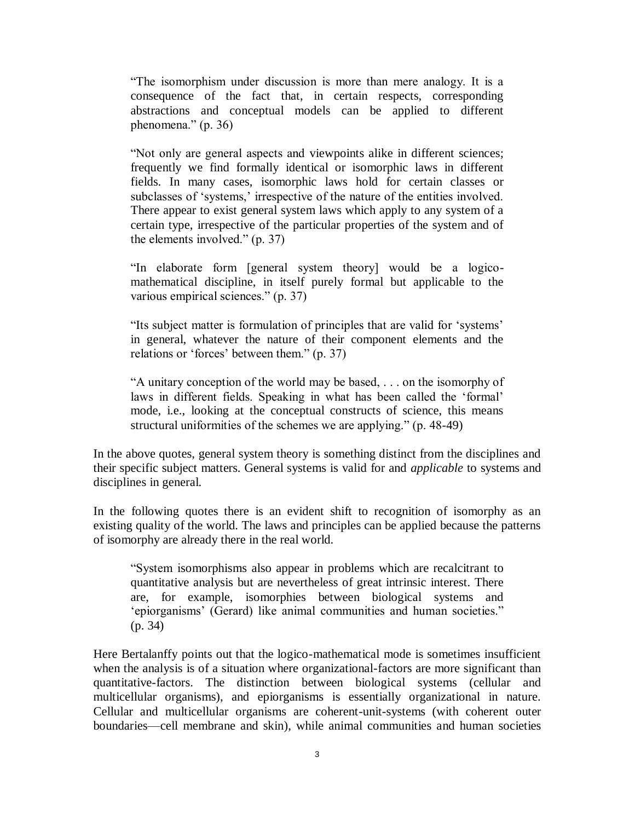"The isomorphism under discussion is more than mere analogy. It is a consequence of the fact that, in certain respects, corresponding abstractions and conceptual models can be applied to different phenomena." (p. 36)

"Not only are general aspects and viewpoints alike in different sciences; frequently we find formally identical or isomorphic laws in different fields. In many cases, isomorphic laws hold for certain classes or subclasses of 'systems,' irrespective of the nature of the entities involved. There appear to exist general system laws which apply to any system of a certain type, irrespective of the particular properties of the system and of the elements involved." (p. 37)

"In elaborate form [general system theory] would be a logicomathematical discipline, in itself purely formal but applicable to the various empirical sciences." (p. 37)

"Its subject matter is formulation of principles that are valid for 'systems' in general, whatever the nature of their component elements and the relations or 'forces' between them." (p. 37)

"A unitary conception of the world may be based, . . . on the isomorphy of laws in different fields. Speaking in what has been called the 'formal' mode, i.e., looking at the conceptual constructs of science, this means structural uniformities of the schemes we are applying." (p. 48-49)

In the above quotes, general system theory is something distinct from the disciplines and their specific subject matters. General systems is valid for and *applicable* to systems and disciplines in general.

In the following quotes there is an evident shift to recognition of isomorphy as an existing quality of the world. The laws and principles can be applied because the patterns of isomorphy are already there in the real world.

"System isomorphisms also appear in problems which are recalcitrant to quantitative analysis but are nevertheless of great intrinsic interest. There are, for example, isomorphies between biological systems and 'epiorganisms' (Gerard) like animal communities and human societies." (p. 34)

Here Bertalanffy points out that the logico-mathematical mode is sometimes insufficient when the analysis is of a situation where organizational-factors are more significant than quantitative-factors. The distinction between biological systems (cellular and multicellular organisms), and epiorganisms is essentially organizational in nature. Cellular and multicellular organisms are coherent-unit-systems (with coherent outer boundaries—cell membrane and skin), while animal communities and human societies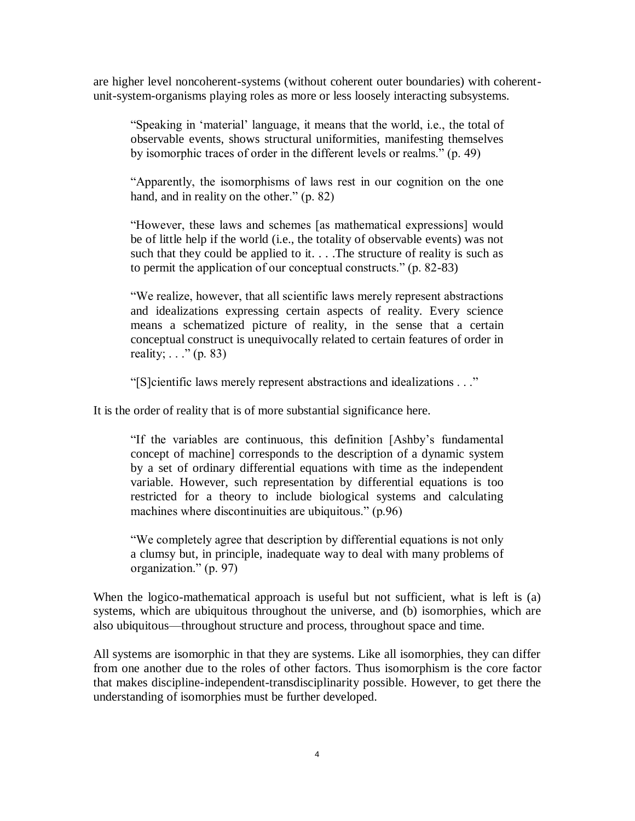are higher level noncoherent-systems (without coherent outer boundaries) with coherentunit-system-organisms playing roles as more or less loosely interacting subsystems.

"Speaking in 'material' language, it means that the world, i.e., the total of observable events, shows structural uniformities, manifesting themselves by isomorphic traces of order in the different levels or realms." (p. 49)

"Apparently, the isomorphisms of laws rest in our cognition on the one hand, and in reality on the other." (p. 82)

"However, these laws and schemes [as mathematical expressions] would be of little help if the world (i.e., the totality of observable events) was not such that they could be applied to it.  $\ldots$ . The structure of reality is such as to permit the application of our conceptual constructs." (p. 82-83)

"We realize, however, that all scientific laws merely represent abstractions and idealizations expressing certain aspects of reality. Every science means a schematized picture of reality, in the sense that a certain conceptual construct is unequivocally related to certain features of order in reality;  $\ldots$ " (p. 83)

"[S]cientific laws merely represent abstractions and idealizations . . ."

It is the order of reality that is of more substantial significance here.

"If the variables are continuous, this definition [Ashby's fundamental concept of machine] corresponds to the description of a dynamic system by a set of ordinary differential equations with time as the independent variable. However, such representation by differential equations is too restricted for a theory to include biological systems and calculating machines where discontinuities are ubiquitous." (p.96)

"We completely agree that description by differential equations is not only a clumsy but, in principle, inadequate way to deal with many problems of organization." (p. 97)

When the logico-mathematical approach is useful but not sufficient, what is left is (a) systems, which are ubiquitous throughout the universe, and (b) isomorphies, which are also ubiquitous—throughout structure and process, throughout space and time.

All systems are isomorphic in that they are systems. Like all isomorphies, they can differ from one another due to the roles of other factors. Thus isomorphism is the core factor that makes discipline-independent-transdisciplinarity possible. However, to get there the understanding of isomorphies must be further developed.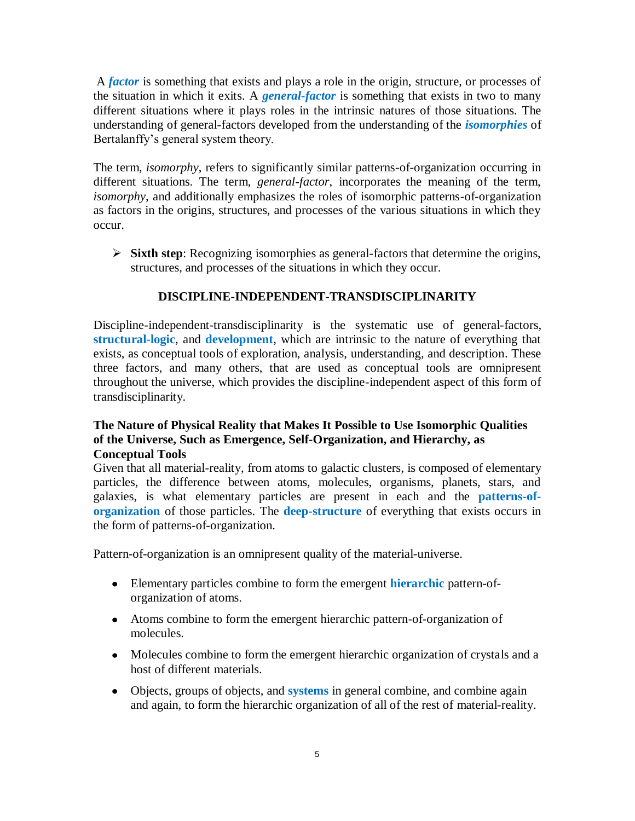A *factor* is something that exists and plays a role in the origin, structure, or processes of the situation in which it exits. A *general-factor* is something that exists in two to many different situations where it plays roles in the intrinsic natures of those situations. The understanding of general-factors developed from the understanding of the *isomorphies* of Bertalanffy's general system theory.

The term, *isomorphy*, refers to significantly similar patterns-of-organization occurring in different situations. The term, *general-factor*, incorporates the meaning of the term, *isomorphy*, and additionally emphasizes the roles of isomorphic patterns-of-organization as factors in the origins, structures, and processes of the various situations in which they occur.

 **Sixth step**: Recognizing isomorphies as general-factors that determine the origins, structures, and processes of the situations in which they occur.

# **DISCIPLINE-INDEPENDENT-TRANSDISCIPLINARITY**

Discipline-independent-transdisciplinarity is the systematic use of general-factors, **structural-logic**, and **development**, which are intrinsic to the nature of everything that exists, as conceptual tools of exploration, analysis, understanding, and description. These three factors, and many others, that are used as conceptual tools are omnipresent throughout the universe, which provides the discipline-independent aspect of this form of transdisciplinarity.

## **The Nature of Physical Reality that Makes It Possible to Use Isomorphic Qualities of the Universe, Such as Emergence, Self-Organization, and Hierarchy, as Conceptual Tools**

Given that all material-reality, from atoms to galactic clusters, is composed of elementary particles, the difference between atoms, molecules, organisms, planets, stars, and galaxies, is what elementary particles are present in each and the **patterns-oforganization** of those particles. The **deep-structure** of everything that exists occurs in the form of patterns-of-organization.

Pattern-of-organization is an omnipresent quality of the material-universe.

- Elementary particles combine to form the emergent **hierarchic** pattern-oforganization of atoms.
- Atoms combine to form the emergent hierarchic pattern-of-organization of molecules.
- Molecules combine to form the emergent hierarchic organization of crystals and a host of different materials.
- Objects, groups of objects, and **systems** in general combine, and combine again and again, to form the hierarchic organization of all of the rest of material-reality.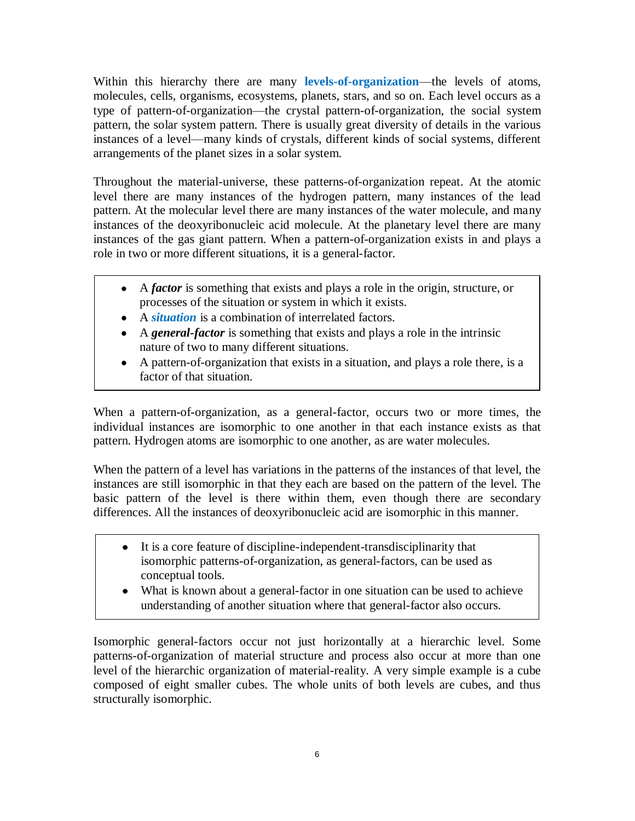Within this hierarchy there are many **levels-of-organization**—the levels of atoms, molecules, cells, organisms, ecosystems, planets, stars, and so on. Each level occurs as a type of pattern-of-organization—the crystal pattern-of-organization, the social system pattern, the solar system pattern. There is usually great diversity of details in the various instances of a level—many kinds of crystals, different kinds of social systems, different arrangements of the planet sizes in a solar system.

Throughout the material-universe, these patterns-of-organization repeat. At the atomic level there are many instances of the hydrogen pattern, many instances of the lead pattern. At the molecular level there are many instances of the water molecule, and many instances of the deoxyribonucleic acid molecule. At the planetary level there are many instances of the gas giant pattern. When a pattern-of-organization exists in and plays a role in two or more different situations, it is a general-factor.

- A *factor* is something that exists and plays a role in the origin, structure, or processes of the situation or system in which it exists.
- A *situation* is a combination of interrelated factors.
- A *general-factor* is something that exists and plays a role in the intrinsic nature of two to many different situations.
- A pattern-of-organization that exists in a situation, and plays a role there, is a factor of that situation.

When a pattern-of-organization, as a general-factor, occurs two or more times, the individual instances are isomorphic to one another in that each instance exists as that pattern. Hydrogen atoms are isomorphic to one another, as are water molecules.

When the pattern of a level has variations in the patterns of the instances of that level, the instances are still isomorphic in that they each are based on the pattern of the level. The basic pattern of the level is there within them, even though there are secondary differences. All the instances of deoxyribonucleic acid are isomorphic in this manner.

- It is a core feature of discipline-independent-transdisciplinarity that  $\bullet$ isomorphic patterns-of-organization, as general-factors, can be used as conceptual tools.
- What is known about a general-factor in one situation can be used to achieve understanding of another situation where that general-factor also occurs.

Isomorphic general-factors occur not just horizontally at a hierarchic level. Some patterns-of-organization of material structure and process also occur at more than one level of the hierarchic organization of material-reality. A very simple example is a cube composed of eight smaller cubes. The whole units of both levels are cubes, and thus structurally isomorphic.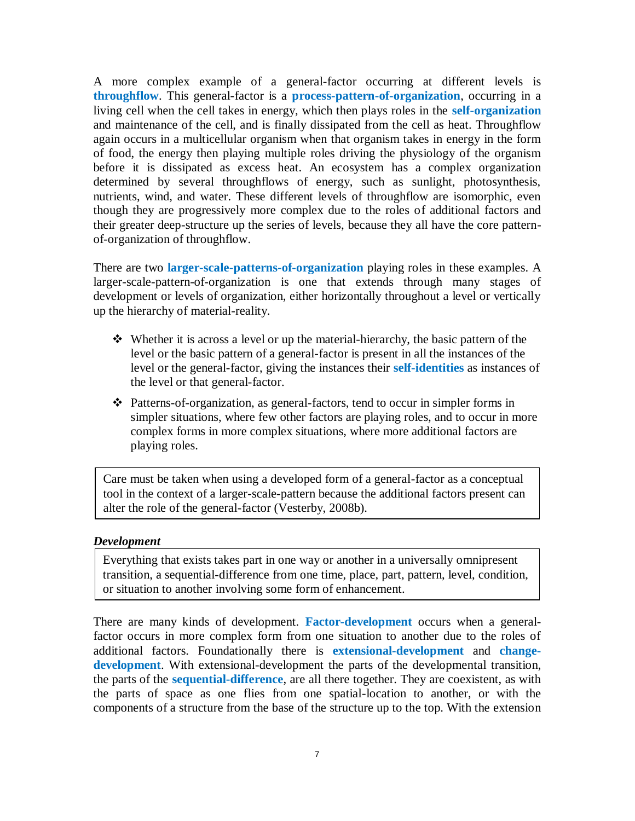A more complex example of a general-factor occurring at different levels is **throughflow**. This general-factor is a **process-pattern-of-organization**, occurring in a living cell when the cell takes in energy, which then plays roles in the **self-organization** and maintenance of the cell, and is finally dissipated from the cell as heat. Throughflow again occurs in a multicellular organism when that organism takes in energy in the form of food, the energy then playing multiple roles driving the physiology of the organism before it is dissipated as excess heat. An ecosystem has a complex organization determined by several throughflows of energy, such as sunlight, photosynthesis, nutrients, wind, and water. These different levels of throughflow are isomorphic, even though they are progressively more complex due to the roles of additional factors and their greater deep-structure up the series of levels, because they all have the core patternof-organization of throughflow.

There are two **larger-scale-patterns-of-organization** playing roles in these examples. A larger-scale-pattern-of-organization is one that extends through many stages of development or levels of organization, either horizontally throughout a level or vertically up the hierarchy of material-reality.

- Whether it is across a level or up the material-hierarchy, the basic pattern of the level or the basic pattern of a general-factor is present in all the instances of the level or the general-factor, giving the instances their **self-identities** as instances of the level or that general-factor.
- Patterns-of-organization, as general-factors, tend to occur in simpler forms in simpler situations, where few other factors are playing roles, and to occur in more complex forms in more complex situations, where more additional factors are playing roles.

Care must be taken when using a developed form of a general-factor as a conceptual tool in the context of a larger-scale-pattern because the additional factors present can alter the role of the general-factor (Vesterby, 2008b).

#### *Development*

Everything that exists takes part in one way or another in a universally omnipresent transition, a sequential-difference from one time, place, part, pattern, level, condition, or situation to another involving some form of enhancement.

There are many kinds of development. **Factor-development** occurs when a generalfactor occurs in more complex form from one situation to another due to the roles of additional factors. Foundationally there is **extensional-development** and **changedevelopment**. With extensional-development the parts of the developmental transition, the parts of the **sequential-difference**, are all there together. They are coexistent, as with the parts of space as one flies from one spatial-location to another, or with the components of a structure from the base of the structure up to the top. With the extension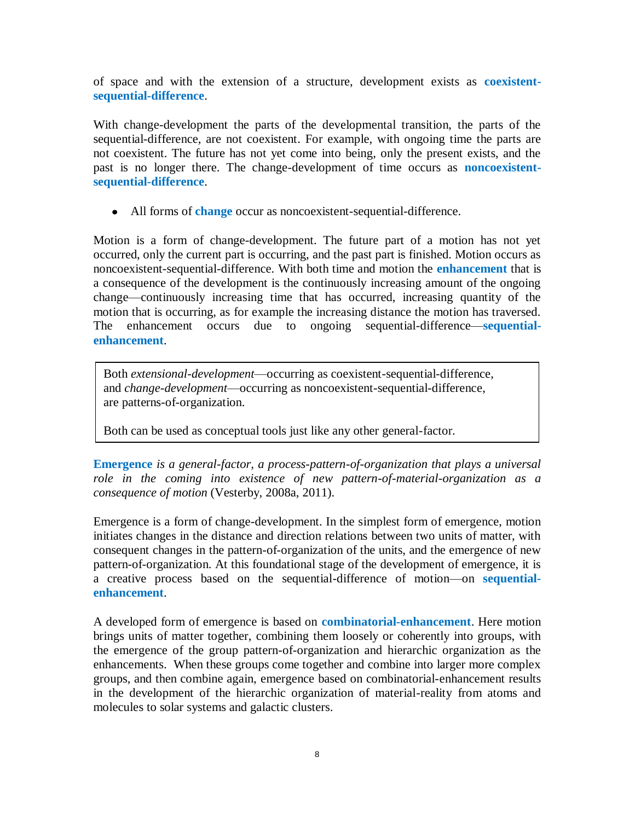of space and with the extension of a structure, development exists as **coexistentsequential-difference**.

With change-development the parts of the developmental transition, the parts of the sequential-difference, are not coexistent. For example, with ongoing time the parts are not coexistent. The future has not yet come into being, only the present exists, and the past is no longer there. The change-development of time occurs as **noncoexistentsequential-difference**.

All forms of **change** occur as noncoexistent-sequential-difference.

Motion is a form of change-development. The future part of a motion has not yet occurred, only the current part is occurring, and the past part is finished. Motion occurs as noncoexistent-sequential-difference. With both time and motion the **enhancement** that is a consequence of the development is the continuously increasing amount of the ongoing change—continuously increasing time that has occurred, increasing quantity of the motion that is occurring, as for example the increasing distance the motion has traversed. The enhancement occurs due to ongoing sequential-difference—**sequentialenhancement**.

Both *extensional-development*—occurring as coexistent-sequential-difference, and *change-development*—occurring as noncoexistent-sequential-difference, are patterns-of-organization.

Both can be used as conceptual tools just like any other general-factor.

**Emergence** *is a general-factor, a process-pattern-of-organization that plays a universal role in the coming into existence of new pattern-of-material-organization as a consequence of motion* (Vesterby, 2008a, 2011).

Emergence is a form of change-development. In the simplest form of emergence, motion initiates changes in the distance and direction relations between two units of matter, with consequent changes in the pattern-of-organization of the units, and the emergence of new pattern-of-organization. At this foundational stage of the development of emergence, it is a creative process based on the sequential-difference of motion—on **sequentialenhancement**.

A developed form of emergence is based on **combinatorial-enhancement**. Here motion brings units of matter together, combining them loosely or coherently into groups, with the emergence of the group pattern-of-organization and hierarchic organization as the enhancements. When these groups come together and combine into larger more complex groups, and then combine again, emergence based on combinatorial-enhancement results in the development of the hierarchic organization of material-reality from atoms and molecules to solar systems and galactic clusters.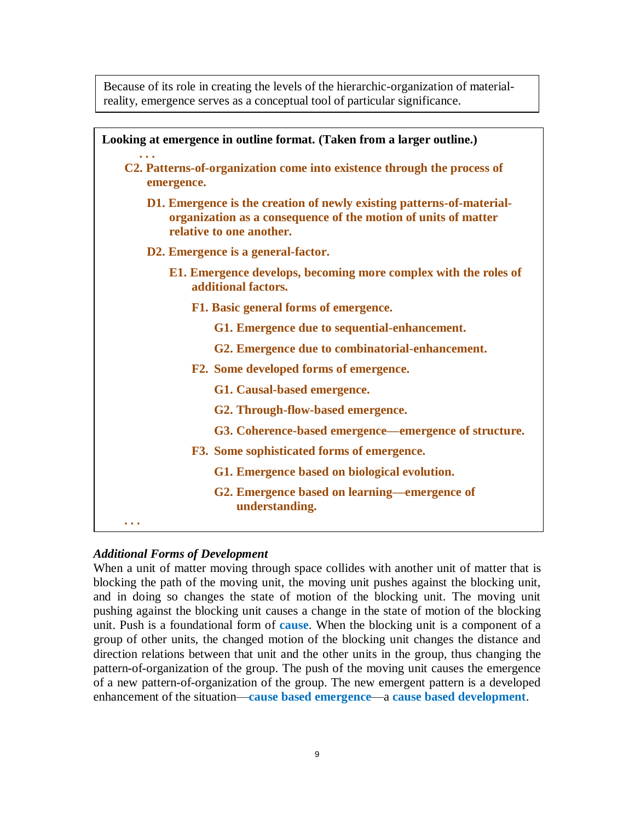Because of its role in creating the levels of the hierarchic-organization of materialreality, emergence serves as a conceptual tool of particular significance.

| Looking at emergence in outline format. (Taken from a larger outline.)                                                                                              |
|---------------------------------------------------------------------------------------------------------------------------------------------------------------------|
| C2. Patterns-of-organization come into existence through the process of<br>emergence.                                                                               |
| D1. Emergence is the creation of newly existing patterns-of-material-<br>organization as a consequence of the motion of units of matter<br>relative to one another. |
| D2. Emergence is a general-factor.                                                                                                                                  |
| E1. Emergence develops, becoming more complex with the roles of<br>additional factors.                                                                              |
| F1. Basic general forms of emergence.                                                                                                                               |
| G1. Emergence due to sequential-enhancement.                                                                                                                        |
| G2. Emergence due to combinatorial-enhancement.                                                                                                                     |
| F2. Some developed forms of emergence.                                                                                                                              |
| G1. Causal-based emergence.                                                                                                                                         |
| G2. Through-flow-based emergence.                                                                                                                                   |
| G3. Coherence-based emergence—emergence of structure.                                                                                                               |
| F3. Some sophisticated forms of emergence.                                                                                                                          |
| G1. Emergence based on biological evolution.                                                                                                                        |
| G2. Emergence based on learning—emergence of<br>understanding.                                                                                                      |
| $\bullet\hspace{0.1cm}\bullet\hspace{0.1cm}\bullet\hspace{0.1cm}$                                                                                                   |

## *Additional Forms of Development*

When a unit of matter moving through space collides with another unit of matter that is blocking the path of the moving unit, the moving unit pushes against the blocking unit, and in doing so changes the state of motion of the blocking unit. The moving unit pushing against the blocking unit causes a change in the state of motion of the blocking unit. Push is a foundational form of **cause**. When the blocking unit is a component of a group of other units, the changed motion of the blocking unit changes the distance and direction relations between that unit and the other units in the group, thus changing the pattern-of-organization of the group. The push of the moving unit causes the emergence of a new pattern-of-organization of the group. The new emergent pattern is a developed enhancement of the situation—**cause based emergence**—a **cause based development**.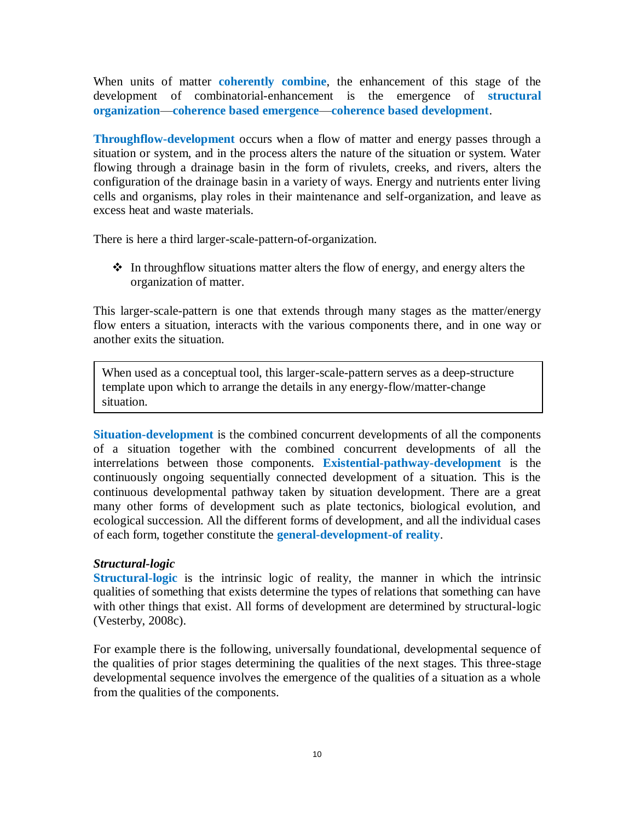When units of matter **coherently combine**, the enhancement of this stage of the development of combinatorial-enhancement is the emergence of **structural organization**—**coherence based emergence**—**coherence based development**.

**Throughflow-development** occurs when a flow of matter and energy passes through a situation or system, and in the process alters the nature of the situation or system. Water flowing through a drainage basin in the form of rivulets, creeks, and rivers, alters the configuration of the drainage basin in a variety of ways. Energy and nutrients enter living cells and organisms, play roles in their maintenance and self-organization, and leave as excess heat and waste materials.

There is here a third larger-scale-pattern-of-organization.

• In throughflow situations matter alters the flow of energy, and energy alters the organization of matter.

This larger-scale-pattern is one that extends through many stages as the matter/energy flow enters a situation, interacts with the various components there, and in one way or another exits the situation.

When used as a conceptual tool, this larger-scale-pattern serves as a deep-structure template upon which to arrange the details in any energy-flow/matter-change situation.

**Situation-development** is the combined concurrent developments of all the components of a situation together with the combined concurrent developments of all the interrelations between those components. **Existential-pathway-development** is the continuously ongoing sequentially connected development of a situation. This is the continuous developmental pathway taken by situation development. There are a great many other forms of development such as plate tectonics, biological evolution, and ecological succession. All the different forms of development, and all the individual cases of each form, together constitute the **general-development-of reality**.

## *Structural-logic*

**Structural-logic** is the intrinsic logic of reality, the manner in which the intrinsic qualities of something that exists determine the types of relations that something can have with other things that exist. All forms of development are determined by structural-logic (Vesterby, 2008c).

For example there is the following, universally foundational, developmental sequence of the qualities of prior stages determining the qualities of the next stages. This three-stage developmental sequence involves the emergence of the qualities of a situation as a whole from the qualities of the components.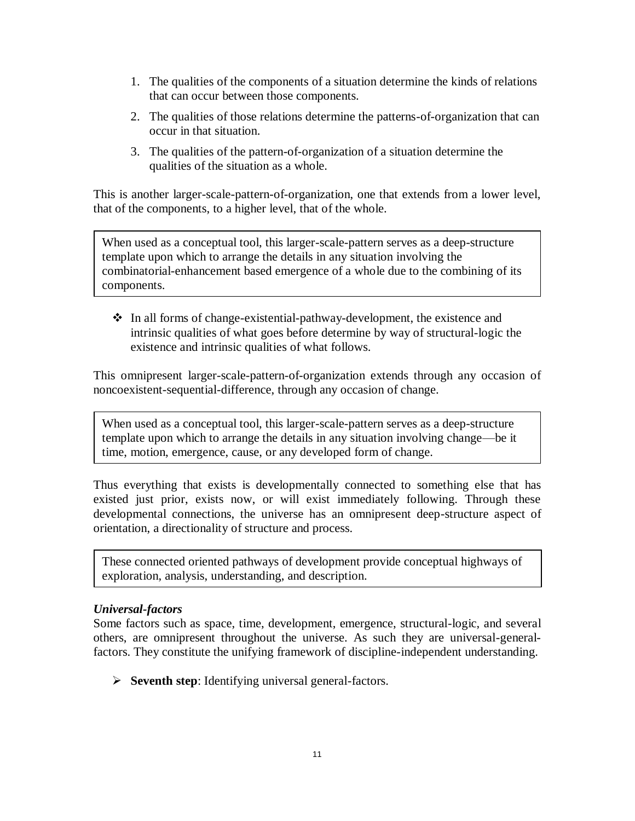- 1. The qualities of the components of a situation determine the kinds of relations that can occur between those components.
- 2. The qualities of those relations determine the patterns-of-organization that can occur in that situation.
- 3. The qualities of the pattern-of-organization of a situation determine the qualities of the situation as a whole.

This is another larger-scale-pattern-of-organization, one that extends from a lower level, that of the components, to a higher level, that of the whole.

When used as a conceptual tool, this larger-scale-pattern serves as a deep-structure template upon which to arrange the details in any situation involving the combinatorial-enhancement based emergence of a whole due to the combining of its components.

 In all forms of change-existential-pathway-development, the existence and intrinsic qualities of what goes before determine by way of structural-logic the existence and intrinsic qualities of what follows.

This omnipresent larger-scale-pattern-of-organization extends through any occasion of noncoexistent-sequential-difference, through any occasion of change.

When used as a conceptual tool, this larger-scale-pattern serves as a deep-structure template upon which to arrange the details in any situation involving change—be it time, motion, emergence, cause, or any developed form of change.

Thus everything that exists is developmentally connected to something else that has existed just prior, exists now, or will exist immediately following. Through these developmental connections, the universe has an omnipresent deep-structure aspect of orientation, a directionality of structure and process.

These connected oriented pathways of development provide conceptual highways of exploration, analysis, understanding, and description.

# *Universal-factors*

Some factors such as space, time, development, emergence, structural-logic, and several others, are omnipresent throughout the universe. As such they are universal-generalfactors. They constitute the unifying framework of discipline-independent understanding.

**Seventh step**: Identifying universal general-factors.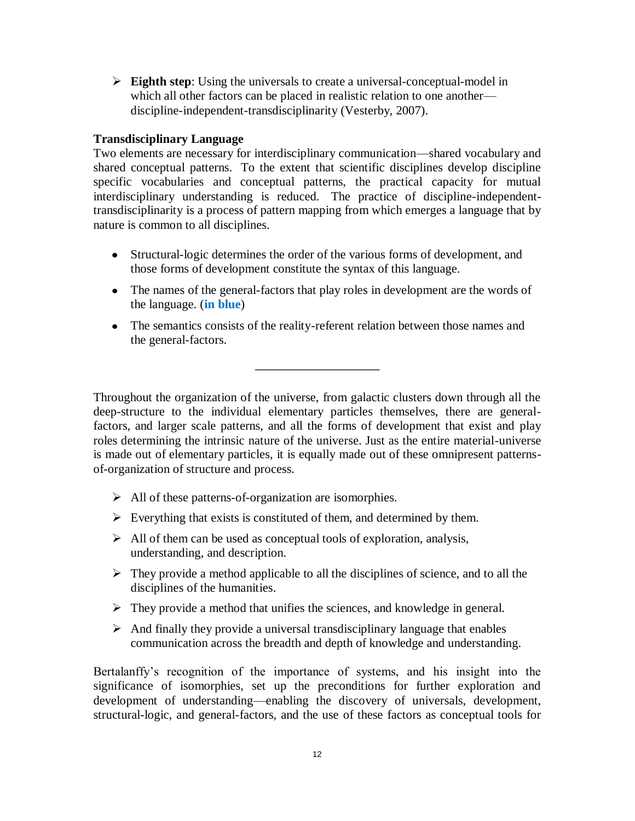**Eighth step**: Using the universals to create a universal-conceptual-model in which all other factors can be placed in realistic relation to one another discipline-independent-transdisciplinarity (Vesterby, 2007).

## **Transdisciplinary Language**

Two elements are necessary for interdisciplinary communication—shared vocabulary and shared conceptual patterns. To the extent that scientific disciplines develop discipline specific vocabularies and conceptual patterns, the practical capacity for mutual interdisciplinary understanding is reduced. The practice of discipline-independenttransdisciplinarity is a process of pattern mapping from which emerges a language that by nature is common to all disciplines.

- Structural-logic determines the order of the various forms of development, and those forms of development constitute the syntax of this language.
- The names of the general-factors that play roles in development are the words of the language. (**in blue**)
- The semantics consists of the reality-referent relation between those names and the general-factors.

**——————————**

Throughout the organization of the universe, from galactic clusters down through all the deep-structure to the individual elementary particles themselves, there are generalfactors, and larger scale patterns, and all the forms of development that exist and play roles determining the intrinsic nature of the universe. Just as the entire material-universe is made out of elementary particles, it is equally made out of these omnipresent patternsof-organization of structure and process.

- $\triangleright$  All of these patterns-of-organization are isomorphies.
- $\triangleright$  Everything that exists is constituted of them, and determined by them.
- $\triangleright$  All of them can be used as conceptual tools of exploration, analysis, understanding, and description.
- $\triangleright$  They provide a method applicable to all the disciplines of science, and to all the disciplines of the humanities.
- $\triangleright$  They provide a method that unifies the sciences, and knowledge in general.
- $\triangleright$  And finally they provide a universal transdisciplinary language that enables communication across the breadth and depth of knowledge and understanding.

Bertalanffy's recognition of the importance of systems, and his insight into the significance of isomorphies, set up the preconditions for further exploration and development of understanding—enabling the discovery of universals, development, structural-logic, and general-factors, and the use of these factors as conceptual tools for